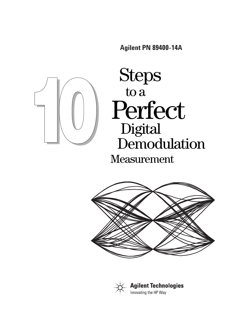**Agilent PN 89400-14A** 



# Steps to a Perfect Digital Demodulation Measurement



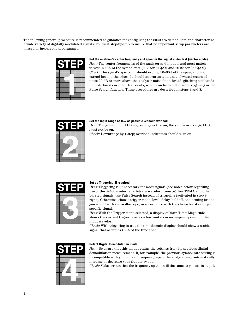The following general procedure is recommended as guidance for configuring the 89400 to demodulate and characterize a wide variety of digitally modulated signals. Follow it step-by-step to insure that no important setup parameters are missed or incorrectly programmed.



**Set the analyzer's center frequency and span for the signal under test (vector mode).** *Hint:* The center frequencies of the analyzer and input signal must match to within ±3% of the symbol rate (±1% for 64QAM and ±0.2% for 256QAM). *Check:* The signal's spectrum should occupy 50–90% of the span, and not extend beyond the edges. It should appear as a distinct, elevated region of noise 20 dB or more above the analyzer noise floor. Broad, glitching sidebands indicate bursts or other transients, which can be handled with triggering or the Pulse Search function. These procedures are described in steps 3 and 8.



#### **Set the input range as low as possible without overload.**

*Hint:* The green input LED may or may not be on; the yellow overrange LED must not be on.

*Check:* Downrange by 1 step; overload indicators should turn on.



#### **Set up Triggering, if required.**

*Hint:* Triggering is unnecessary for most signals (see notes below regarding use of the 89400's internal arbitrary waveform source). For TDMA and other bursted signals, use Pulse Search instead of triggering (activated in step 8, right). Otherwise, choose trigger mode, level, delay, holdoff, and arming just as you would with an oscilloscope, in accordance with the characteristics of your specific signal.

*Hint:* With the Trigger menu selected, a display of Main Time: Magnitude shows the current trigger level as a horizontal cursor, superimposed on the input waveform.

*Check:* With triggering in use, the time domain display should show a stable signal that occupies >50% of the time span.



#### **Select Digital Demodulation mode.**

*Hint:* Be aware that this mode retains the settings from its previous digital demodulation measurement. If, for example, the previous symbol rate setting is incompatible with your current frequency span, the analyzer may automatically increase or decrease your frequency span.

*Check:* Make certain that the frequency span is still the same as you set in step 1.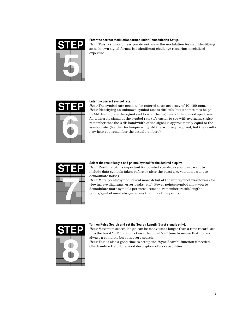

#### **Enter the correct modulation format under Demodulation Setup.**

*Hint:* This is simple unless you do not know the modulation format. Identifying an unknown signal format is a significant challenge requiring specialized expertise.



#### **Enter the correct symbol rate.**

*Hint:* The symbol rate needs to be entered to an accuracy of 10–100 ppm. *Hint:* Identifying an unknown symbol rate is difficult, but it sometimes helps to AM demodulate the signal and look at the high end of the demod spectrum for a discrete signal at the symbol rate (it's easier to see with averaging). Also remember that the 3 dB bandwidth of the signal is approximately equal to the symbol rate. (Neither technique will yield the accuracy required, but the results may help you remember the actual numbers).



#### **Select the result length and points/symbol for the desired display.**

*Hint:* Result length is important for bursted signals, as you don't want to include data symbols taken before or after the burst (i.e. you don't want to demodulate noise).

*Hint:* More points/symbol reveal more detail of the intersymbol waveforms (for viewing eye diagrams, error peaks, etc.). Fewer points/symbol allow you to demodulate more symbols per measurement (remember: result length\* points/symbol must always be less than max time points).



#### **Turn on Pulse Search and set the Search Length (burst signals only).**

*Hint:* Maximum search length can be many times longer than a time record; set it to the burst "off" time plus twice the burst "on" time to insure that there's always a complete burst in every search.

*Hint:* This is also a good time to set up the "Sync Search" function if needed. Check online Help for a good description of its capabilities.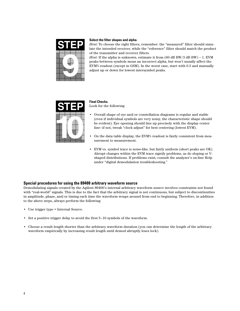

#### **Select the filter shapes and alpha.**

*Hint:* To choose the right filters, remember: the "measured" filter should simulate the intended receiver, while the "reference" filter should match the product of the transmitter and receiver filters.

*Hint:* If the alpha is unknown, estimate it from (60 dB BW/3 dB BW) – 1. EVM peaks between symbols mean an incorrect alpha, but won't usually affect the EVM% readout (except in GSM). In the worst case, start with 0.3 and manually adjust up or down for lowest intersymbol peaks.



#### **Final Checks.** Look for the following:

- Overall shape of eye and/or constellation diagrams is regular and stable (even if individual symbols are very noisy, the characteristic shape should be evident). Eye opening should line up precisely with the display center line—if not, tweak "clock adjust" for best centering (lowest EVM).
- On the data table display, the EVM% readout is fairly consistent from measurement to measurement.
- EVM vs. symbol trace is noise-like, but fairly uniform (short peaks are OK). Abrupt changes within the EVM trace signify problems, as do sloping or Vshaped distributions. If problems exist, consult the analyzer's on-line Help under "digital demodulation troubleshooting."

## **Special procedures for using the 89400 arbitrary waveform source**

Demodulating signals created by the Agilent 89400's internal arbitrary waveform source involves constraints not found with "real-world" signals. This is due to the fact that the arbitrary signal is not continuous, but subject to discontinuities in amplitude, phase, and/or timing each time the waveform wraps around from end to beginning. Therefore, in addition to the above steps, always perform the following:

- Use trigger type = Internal Source.
- Set a positive trigger delay to avoid the first 5–10 symbols of the waveform.
- Choose a result length shorter than the arbitrary waveform duration (you can determine the length of the arbitrary waveform empirically by increasing result length until demod abruptly loses lock).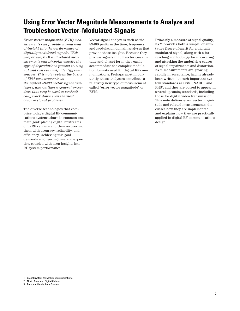## **Using Error Vector Magnitude Measurements to Analyze and Troubleshoot Vector-Modulated Signals**

*Error vector magnitude (EVM) measurements can provide a great deal of insight into the performance of digitally modulated signals. With proper use, EVM and related measurements can pinpoint exactly the type of degradations present in a signal and can even help identify their sources. This note reviews the basics of EVM measurements on the Agilent 89400 vector signal analyzers, and outlines a general procedure that may be used to methodically track down even the most obscure signal problems.*

The diverse technologies that comprise today's digital RF communications systems share in common one main goal: placing digital bitstreams onto RF carriers and then recovering them with accuracy, reliability, and efficiency. Achieving this goal demands engineering time and expertise, coupled with keen insights into RF system performance.

Vector signal analyzers such as the 89400 perform the time, frequency, and modulation domain analyses that provide these insights. Because they process signals in full vector (magnitude and phase) form, they easily accommodate the complex modulation formats used for digital RF communications. Perhaps most importantly, these analyzers contribute a relatively new type of measurement called "error vector magnitude" or EVM.

Primarily a measure of signal quality, EVM provides both a simple, quantitative figure-of-merit for a digitally modulated signal, along with a farreaching methodology for uncovering and attacking the underlying causes of signal impairments and distortion. EVM measurements are growing rapidly in acceptance, having already been written ito such important system standards as GSM<sup>1</sup>, NADC<sup>2</sup>, and PHS<sup>3</sup>, and they are poised to appear in several upcoming standards, including those for digital video transmission. This note defines error vector magnitude and related measurements, discusses how they are implemented, and explains how they are practically applied in digital RF communications design.

<sup>1.</sup> Global System for Mobile Communications

<sup>2.</sup> North American Digital Cellular

<sup>3.</sup> Personal Handyphone System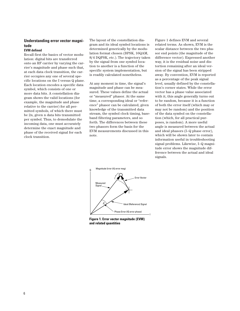## **Understanding error vector magnitude**

## **EVM defined**

Recall first the basics of vector modulation: digital bits are transferred onto an RF carrier by varying the carrier's magnitude and phase such that, at each data clock transition, the carrier occupies any one of several specific locations on the I versus Q plane. Each location encodes a specific data symbol, which consists of one or more data bits. A constellation diagram shows the valid locations (for example, the magnitude and phase relative to the carrier) for all permitted symbols, of which there must be 2n, given n data bits transmitted per symbol. Thus, to demodulate the incoming data, one must accurately determine the exact magnitude and phase of the received signal for each clock transition.

The layout of the constellation diagram and its ideal symbol locations is determined generically by the modulation format chosen (BPSK, 16QAM,  $\pi/4$  DQPSK, etc.). The trajectory taken by the signal from one symbol location to another is a function of the specific system implementation, but is readily calculated nonetheless.

At any moment in time, the signal's magnitude and phase can be measured. These values define the actual or "measured" phasor. At the same time, a corresponding ideal or "reference" phasor can be calculated, given knowledge of the transmitted data stream, the symbol clock timing, baseband filtering parameters, and so forth. The differences between these two phasors form the basis for the EVM measurements discussed in this note.

Figure 1 defines EVM and several related terms. As shown, EVM is the scalar distance between the two phasor end points (the magnitude of the difference vector). Expressed another way, it is the residual noise and distortion remaining after an ideal version of the signal has been stripped away. By convention, EVM is reported as a percentage of the peak signal level, usually defined by the constellation's corner states. While the error vector has a phase value associated with it, this angle generally turns out to be random, because it is a function of both the error itself (which may or may not be random) and the position of the data symbol on the constellation (which, for all practical purposes, is random). A more useful angle is measured between the actual and ideal phasors (I–Q phase error), which will be shown later to contain information useful in troubleshooting signal problems. Likewise, I–Q magnitude error shows the magnitude difference between the actual and ideal signals.



**Figure 1. Error vector magnitude (EVM) and related quantities**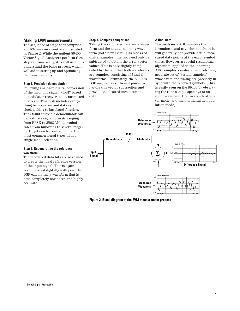#### **Making EVM measurements**

The sequence of steps that comprise an EVM measurement are illustrated in Figure 2. While the Agilent 89400 Vector Signal Analyzers perform these steps automatically, it is still useful to understand the basic process, which will aid in setting up and optimizing the measurements.

#### **Step 1. Precision demodulation**

Following analog-to-digital conversion of the incoming signal, a DSP1 based demodulator recovers the transmitted bitstream. This task includes everything from carrier and data symbol clock locking to baseband filtering. The 89400's flexible demodulator can demodulate signal formats ranging from BPSK to 256QAM, at symbol rates from hundreds to several megahertz, yet can be configured for the most common signal types with a single menu selection.

#### **Step 2. Regenerating the reference waveform**

The recovered data bits are next used to create the ideal reference version of the input signal. This is again accomplished digitally with powerful DSP calculating a waveform that is both completely noise-free and highly accurate.

#### **Step 3. Complex comparison**

Taking the calculated reference waveform and the actual incoming waveform (both now existing as blocks of digital samples), the two need only be subtracted to obtain the error vector values. This is only slightly complicated by the fact that both waveforms are complex, consisting of *I* and *Q* waveforms. Fortunately, the 89400's DSP engine has sufficient power to handle this vector subtraction and provide the desired measurement data.

#### **A final note**

The analyzer's ADC samples the incoming signal asynchronously, so it will generally not provide actual measured data points at the exact symbol times. However, a special resampling algorithm, applied to the incoming ADC samples, creates an entirely new, accurate set of "virtual samples," whose rate and timing are precisely in sync with the received symbols. (This is easily seen on the 89400 by observing the time-sample spacings of an input waveform, first in standard vector mode, and then in digital demodulation mode).



**Figure 2. Block diagram of the EVM measurement process**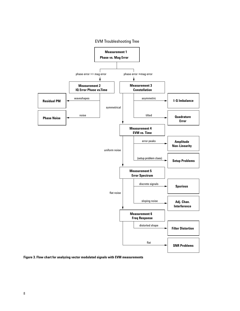

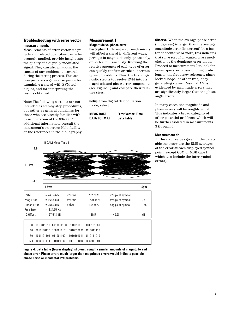## **Troubleshooting with error vector measurements**

Measurements of error vector magnitude and related quantities can, when properly applied, provide insight into the quality of a digitally modulated signal. They can also pin-point the causes of any problems uncovered during the testing process. This section proposes a general sequence for examining a signal with EVM techniques, and for interpreting the results obtained.

Note: The following sections are not intended as step-by-step procedures, but rather as general guidelines for those who are already familiar with basic operation of the 89400. For additional information, consult the instrument's on-screen Help facility or the references in the bibliography.

## **Measurement 1 Magnitude vs. phase error**

**Description:** Different error mechanisms will affect a signal in different ways, perhaps in magnitude only, phase only, or both simultaneously. Knowing the relative amounts of each type of error can quickly confirm or rule out certain types of problems. Thus, the first diagnostic step is to resolve EVM into its magnitude and phase error components (see Figure 1) and compare their relative sizes.

**Setup:** from digital demodulation mode, select

**MEAS DATA Error Vector: Time DATA FORMAT Data Table**



**Figure 4. Data table (lower display) showing roughly similar amounts of magnitude and phase error. Phase errors much larger than magnitude errors would indicate possible phase noise or incidental PM problems.**

**Observe:** When the average phase error (in degrees) is larger than the average magnitude error (in percent) by a factor of about five or more, this indicates that some sort of unwanted phase modulation is the dominant error mode. Proceed to measurement 2 to look for noise, spurs, or cross-coupling problems in the frequency reference, phaselocked loops, or other frequencygenerating stages. Residual AM is evidenced by magnitude errors that are significantly larger than the phase angle errors.

In many cases, the magnitude and phase errors will be roughly equal. This indicates a broad category of other potential problems, which will be further isolated in measurements 3 through 6.

#### **Measurement tip**

1. The error values given in the datatable summary are the RMS averages of the error at each displayed symbol point (except GSM or MSK type I, which also include the intersymbol errors).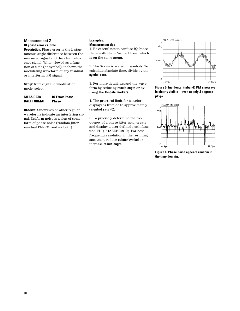## **Measurement 2**

## **IQ phase error vs. time**

**Description:** Phase error is the instantaneous angle difference between the measured signal and the ideal reference signal. When viewed as a function of time (or symbol), it shows the modulating waveform of any residual or interfering PM signal.

**Setup:** from digital demodulation mode, select

## **MEAS DATA IQ Error: Phase DATA FORMAT Phase**

**Observe:** Sinewaves or other regular waveforms indicate an interfering signal. Uniform noise is a sign of some form of phase noise (random jitter, residual PM/FM, and so forth).

#### **Examples: Measurement tips**

1. Be careful not to confuse *IQ* Phase Error with Error Vector Phase, which is on the same menu.

2. The X-axis is scaled in symbols. To calculate absolute time, divide by the **symbol rate.**

3. For more detail, expand the waveform by reducing **result length** or by using the **X-scale markers.**

4. The practical limit for waveform displays is from dc to approximately (symbol rate)/2.

5. To precisely determine the frequency of a phase jitter spur, create and display a user-defined math function FFT(PHASEERROR). For best frequency resolution in the resulting spectrum, reduce **points/symbol** or increase **result length.**



**Figure 5. Incidental (inband) PM sinewave is clearly visible—even at only 3 degrees pk-pk.**



**Figure 6. Phase noise appears random in the time domain.**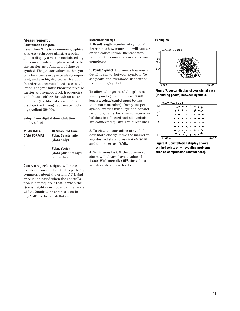## **Measurement 3 Constellation diagram**

**Description:** This is a common graphical analysis technique utilizing a polar plot to display a vector-modulated signal's magnitude and phase relative to the carrier, as a function of time or symbol. The phasor values at the symbol clock times are particularly important, and are highlighted with a dot. In order to accomplish this, a constellation analyzer must know the precise carrier and symbol clock frequencies and phases, either through an external input (traditional constellation displays) or through automatic locking (Agilent 89400).

**Setup:** from digital demodulation mode, select

| <b>MEAS DATA</b><br><b>DATA FORMAT</b> | <i><b>10 Measured Time</b></i><br><b>Polar: Constellation</b><br>(dots only) |
|----------------------------------------|------------------------------------------------------------------------------|
| or                                     | <b>Polar: Vector</b><br>(dots plus intersym-<br>bol paths)                   |
|                                        |                                                                              |

**Observe:** A perfect signal will have a uniform constellation that is perfectly symmetric about the origin. *I-Q* imbalance is indicated when the constellation is not "square," that is when the Q-axis height does not equal the I-axis width. Quadrature error is seen in any "tilt" to the constellation.

#### **Measurement tips**

1. **Result length** (number of symbols) determines how many dots will appear on the constellation. Increase it to populate the constellation states more completely.

2. **Points/symbol** determines how much detail is shown between symbols. To see peaks and overshoot, use four or more points/symbol.

To allow a longer result length, use fewer points (in either case, **result length x points/symbol** must be less than **max time points**). One point per symbol creates trivial eye and constellation diagrams, because no intersymbol data is collected and all symbols are connected by straight, direct lines.

3. To view the spreading of symbol dots more closely, move the marker to any desired state, press **mkr -> ref lvl** and then decrease **Y/div.**

4. With **normalize ON,** the outermost states will always have a value of 1.000. With **normalize OFF,** the values are absolute voltage levels.

#### **Examples:**



**Figure 7. Vector display shows signal path (including peaks) between symbols.**

|             | 64QAM Meas Time 1                                 |          |
|-------------|---------------------------------------------------|----------|
| 0.8         | ٦.<br>$\mathbf{A}$<br>and the<br>$\pm$ 1<br>نو جا |          |
|             | $\mathcal{F}(\mathcal{A})$                        |          |
| 0.2<br>/div | . .                                               |          |
|             |                                                   |          |
| I-Q         | 76<br>۰.                                          |          |
|             |                                                   |          |
|             | ÷.<br>u                                           |          |
| $-0.8$      | $\sim$ $^{\prime}$ $\sigma$<br>s.,<br>٠           |          |
| $-1.420069$ |                                                   | 1.420069 |

**Figure 8. Constellation display shows symbol points only, revealing problems such as compression (shown here).**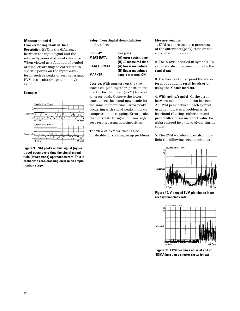## **Measurement 4**

## **Error vector magnitude vs. time**

**Description:** EVM is the difference between the input signal and the internally generated ideal reference. When viewed as a function of symbol or time, errors may be correlated to specific points on the input waveform, such as peaks or zero crossings. EVM is a scalar (magnitude-only) value.

**Example:**



**Figure 9. EVM peaks on this signal (upper trace) occur every time the signal magnitude (lower trace) approaches zero. This is probably a zero-crossing error in an amplification stage.**

**Setup:** from digital demodulation mode, select

| <b>DISPLAY</b>     | two grids                   |
|--------------------|-----------------------------|
| <b>MEAS DATA</b>   | (A) error vector: time      |
|                    | (B) <i>IQ</i> measured time |
| <b>DATA FORMAT</b> | (A) linear magnitude        |
|                    | (B) linear magnitude        |
| <b>MARKER</b>      | couple markers: ON          |

**Observe:** With markers on the two traces coupled together, position the marker for the upper (EVM) trace at an error peak. Observe the lower trace to see the signal magnitude for the same moment time. Error peaks occurring with signal peaks indicate compression or clipping. Error peaks that correlate to signal minima suggest zero-crossing non-linearities.

The view of EVM vs. time is also invaluable for spotting setup problems.

#### **Measurement tips**

1. EVM is expressed as a percentage of the outermost (peak) state on the constellation diagram.

2. The X-axis is scaled in symbols. To calculate absolute time, divide by the **symbol rate.**

3. For more detail, expand the waveform by reducing **result length** or by using the **X-scale markers.**

4. With **points/symbol** >1, the error between symbol points can be seen. An EVM peak between each symbol usually indicates a problem with baseband filtering—either a misadjusted filter or an incorrect value for **alpha** entered into the analyzer during setup.

5. The EVM waveform can also highlight the following setup problems:



**Figure 10. V-shaped EVM plot due to incorrect symbol clock rate**



**Figure 11. EVM becomes noise at end of TDMA burst; use shorter** *result length*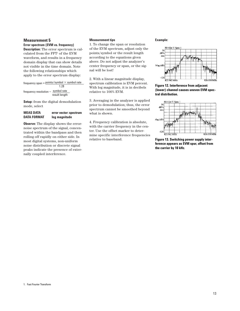#### **Measurement 5**

## **Error spectrum (EVM vs. frequency)**

**Description:** The error spectrum is calculated from the FFT<sup>1</sup> of the EVM waveform, and results in a frequency domain display that can show details not visible in the time domain. Note the following relationships which apply to the error spectrum display:

frequency span =  $\frac{\text{points/symbol}}{\text{symbol}} \times \text{symbol}$  rate 1.28 frequency resolution  $\sim$  symbol rate result length

**Setup:** from the digital demodulation mode, select

#### **MEAS DATA error vector: spectrum DATA FORMAT log magnitude**

**Observe:** The display shows the errornoise spectrum of the signal, concentrated within the bandpass and then rolling off rapidly on either side. In most digital systems, non-uniform noise distribution or discrete signal peaks indicate the presence of externally coupled interference.

#### **Measurement tips**

1. To change the span or resolution of the EVM spectrum, adjust only the points/symbol or the result length according to the equations given above. Do not adjust the analyzer's center frequency or span, or the signal will be lost!

2. With a linear magnitude display, spectrum calibration is EVM percent. With log magnitude, it is in decibels relative to 100% EVM.

3. Averaging in the analyzer is applied prior to demodulation; thus, the error spectrum cannot be smoothed beyond what is shown.

4. Frequency calibration is absolute, with the carrier frequency in the center. Use the offset marker to determine specific interference frequencies relative to baseband.

#### **Example:**



**Figure 12. Interference from adjacent (lower) channel causes uneven EVM spectral distribution.**



**Figure 13. Switching power supply interference appears as EVM spur, offset from the carrier by 10 kHz.**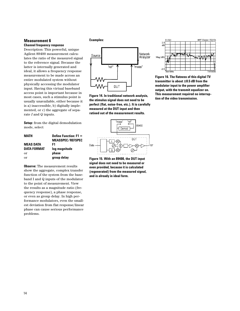#### **Measurement 6 Channel frequency response**

Description: This powerful, unique Agilent 89400 measurement calculates the ratio of the measured signal to the reference signal. Because the latter is internally generated and ideal, it allows a frequency response measurement to be made across an entire modulated system without physically accessing the modulator input. Having this virtual baseband access point is important because in most cases, such a stimulus point is usually unavailable, either because it is a) inaccessible, b) digitally implemented, or c) the aggregate of separate *I* and *Q* inputs.

**Setup:** from the digital demodulation mode, select

| MATH               | Define Function: $F1 =$ |
|--------------------|-------------------------|
|                    | <b>MEASSPEC/REFSPEC</b> |
| MEAS DATA          | F1                      |
| <b>DATA FORMAT</b> | log magnitude           |
| or                 | phase                   |
| or                 | group delay             |
|                    |                         |

**Observe:** The measurement results show the aggregate, complex transfer function of the system from the baseband I and Q inputs of the modulator to the point of measurement. View the results as a magnitude ratio (frequency response), a phase response, or even as group delay. In high performance modulators, even the smallest deviation from flat response/linear phase can cause serious performance problems.

#### **Examples:**



**Figure 14. In traditional network analysis, the stimulus signal does not need to be perfect (flat, noise-free, etc.). It is carefully measured at the DUT input and then ratioed out of the measurement results.**



**Figure 15. With an 89400, the DUT input signal does not need to be measured or even provided, because it is calculated (regenerated) from the measured signal, and is already in ideal form.**



**Figure 16. The flatness of this digital TV transmitter is about ±0.5 dB from the modulator input to the power amplifier output, with the transmit equalizer on. This measurement required no interruption of the video transmission.**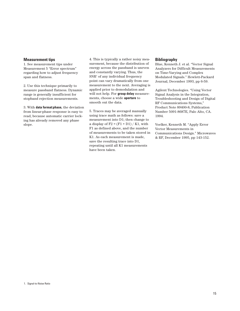#### **Measurement tips**

1. See measurement tips under Measurement 5 "Error spectrum" regarding how to adjust frequency span and flatness.

2. Use this technique primarily to measure passband flatness. Dynamic range is generally insufficient for stopband rejection measurements.

3. With **data format:phase,** the deviation from linear-phase response is easy to read, because automatic carrier locking has already removed any phase slope.

4. This is typically a rather noisy measurement, because the distribution of energy across the passband is uneven and constantly varying. Thus, the  $SNR<sup>1</sup>$  of any individual frequency point can vary dramatically from one measurement to the next. Averaging is applied prior to demodulation and will not help. For **group delay** measurements, choose a wide **aperture** to smooth out the data.

5. Traces may be averaged manually using trace math as follows: save a measurement into D1; then change to a display of  $F2 = (F1 + D1) / K1$ , with F1 as defined above, and the number of measurements to be taken stored in K1. As each measurement is made, save the resulting trace into D1, repeating until all K1 measurements have been taken.

#### **Bibliography**

Blue, Kenneth J. et al. "Vector Signal Analyzers for Difficult Measurements on Time-Varying and Complex Modulated Signals." Hewlett-Packard Journal, December 1993, pp 6-59.

Agilent Technologies. "Using Vector Signal Analysis in the Integration, Troubleshooting and Design of Digital RF Communications Systems," Product Note 89400-8, Publication Number 5091-8687E, Palo Alto, CA. 1994.

Voelker, Kenneth M. "Apply Error Vector Measurements in Communications Design." Microwaves & RF, December 1995, pp 143-152.